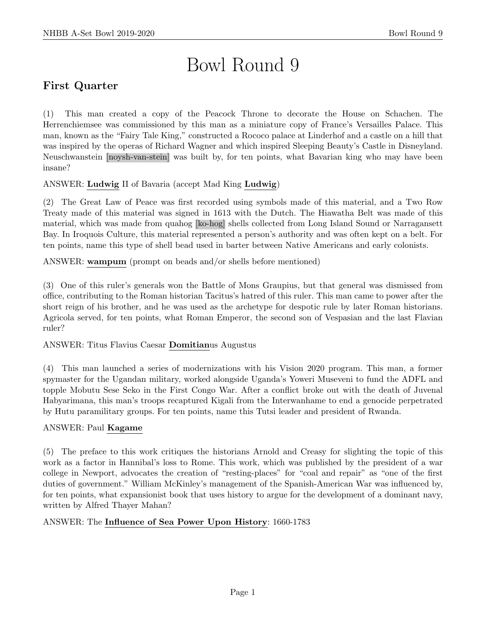# Bowl Round 9

# First Quarter

(1) This man created a copy of the Peacock Throne to decorate the House on Schachen. The Herrenchiemsee was commissioned by this man as a miniature copy of France's Versailles Palace. This man, known as the "Fairy Tale King," constructed a Rococo palace at Linderhof and a castle on a hill that was inspired by the operas of Richard Wagner and which inspired Sleeping Beauty's Castle in Disneyland. Neuschwanstein [noysh-van-stein] was built by, for ten points, what Bavarian king who may have been insane?

## ANSWER: Ludwig II of Bavaria (accept Mad King Ludwig)

(2) The Great Law of Peace was first recorded using symbols made of this material, and a Two Row Treaty made of this material was signed in 1613 with the Dutch. The Hiawatha Belt was made of this material, which was made from quahog [ko-hog] shells collected from Long Island Sound or Narragansett Bay. In Iroquois Culture, this material represented a person's authority and was often kept on a belt. For ten points, name this type of shell bead used in barter between Native Americans and early colonists.

ANSWER: wampum (prompt on beads and/or shells before mentioned)

(3) One of this ruler's generals won the Battle of Mons Graupius, but that general was dismissed from office, contributing to the Roman historian Tacitus's hatred of this ruler. This man came to power after the short reign of his brother, and he was used as the archetype for despotic rule by later Roman historians. Agricola served, for ten points, what Roman Emperor, the second son of Vespasian and the last Flavian ruler?

#### ANSWER: Titus Flavius Caesar Domitianus Augustus

(4) This man launched a series of modernizations with his Vision 2020 program. This man, a former spymaster for the Ugandan military, worked alongside Uganda's Yoweri Museveni to fund the ADFL and topple Mobutu Sese Seko in the First Congo War. After a conflict broke out with the death of Juvenal Habyarimana, this man's troops recaptured Kigali from the Interwanhame to end a genocide perpetrated by Hutu paramilitary groups. For ten points, name this Tutsi leader and president of Rwanda.

#### ANSWER: Paul Kagame

(5) The preface to this work critiques the historians Arnold and Creasy for slighting the topic of this work as a factor in Hannibal's loss to Rome. This work, which was published by the president of a war college in Newport, advocates the creation of "resting-places" for "coal and repair" as "one of the first duties of government." William McKinley's management of the Spanish-American War was influenced by, for ten points, what expansionist book that uses history to argue for the development of a dominant navy, written by Alfred Thayer Mahan?

#### ANSWER: The Influence of Sea Power Upon History: 1660-1783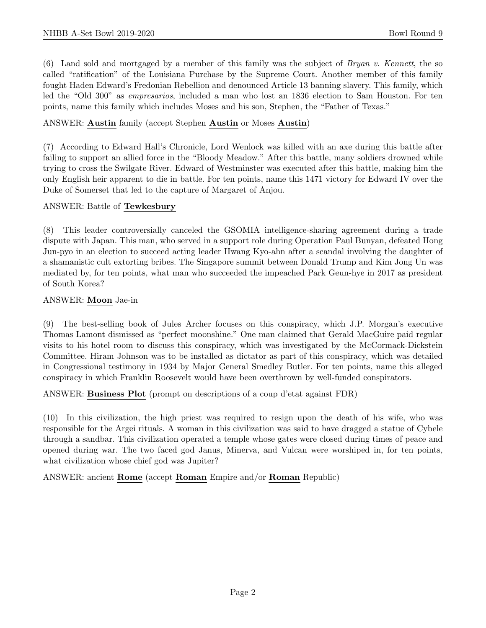(6) Land sold and mortgaged by a member of this family was the subject of *Bryan v. Kennett*, the so called "ratification" of the Louisiana Purchase by the Supreme Court. Another member of this family fought Haden Edward's Fredonian Rebellion and denounced Article 13 banning slavery. This family, which led the "Old 300" as *empresarios*, included a man who lost an 1836 election to Sam Houston. For ten points, name this family which includes Moses and his son, Stephen, the "Father of Texas."

#### ANSWER: Austin family (accept Stephen Austin or Moses Austin)

(7) According to Edward Hall's Chronicle, Lord Wenlock was killed with an axe during this battle after failing to support an allied force in the "Bloody Meadow." After this battle, many soldiers drowned while trying to cross the Swilgate River. Edward of Westminster was executed after this battle, making him the only English heir apparent to die in battle. For ten points, name this 1471 victory for Edward IV over the Duke of Somerset that led to the capture of Margaret of Anjou.

#### ANSWER: Battle of Tewkesbury

(8) This leader controversially canceled the GSOMIA intelligence-sharing agreement during a trade dispute with Japan. This man, who served in a support role during Operation Paul Bunyan, defeated Hong Jun-pyo in an election to succeed acting leader Hwang Kyo-ahn after a scandal involving the daughter of a shamanistic cult extorting bribes. The Singapore summit between Donald Trump and Kim Jong Un was mediated by, for ten points, what man who succeeded the impeached Park Geun-hye in 2017 as president of South Korea?

#### ANSWER: Moon Jae-in

(9) The best-selling book of Jules Archer focuses on this conspiracy, which J.P. Morgan's executive Thomas Lamont dismissed as "perfect moonshine." One man claimed that Gerald MacGuire paid regular visits to his hotel room to discuss this conspiracy, which was investigated by the McCormack-Dickstein Committee. Hiram Johnson was to be installed as dictator as part of this conspiracy, which was detailed in Congressional testimony in 1934 by Major General Smedley Butler. For ten points, name this alleged conspiracy in which Franklin Roosevelt would have been overthrown by well-funded conspirators.

ANSWER: Business Plot (prompt on descriptions of a coup d'etat against FDR)

(10) In this civilization, the high priest was required to resign upon the death of his wife, who was responsible for the Argei rituals. A woman in this civilization was said to have dragged a statue of Cybele through a sandbar. This civilization operated a temple whose gates were closed during times of peace and opened during war. The two faced god Janus, Minerva, and Vulcan were worshiped in, for ten points, what civilization whose chief god was Jupiter?

ANSWER: ancient Rome (accept Roman Empire and/or Roman Republic)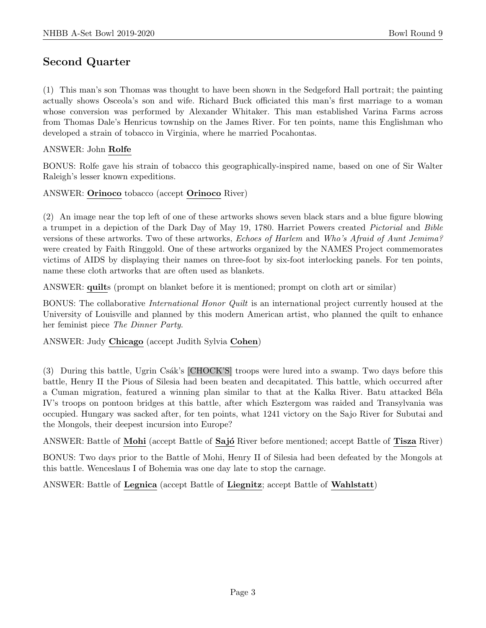## Second Quarter

(1) This man's son Thomas was thought to have been shown in the Sedgeford Hall portrait; the painting actually shows Osceola's son and wife. Richard Buck officiated this man's first marriage to a woman whose conversion was performed by Alexander Whitaker. This man established Varina Farms across from Thomas Dale's Henricus township on the James River. For ten points, name this Englishman who developed a strain of tobacco in Virginia, where he married Pocahontas.

#### ANSWER: John Rolfe

BONUS: Rolfe gave his strain of tobacco this geographically-inspired name, based on one of Sir Walter Raleigh's lesser known expeditions.

ANSWER: Orinoco tobacco (accept Orinoco River)

(2) An image near the top left of one of these artworks shows seven black stars and a blue figure blowing a trumpet in a depiction of the Dark Day of May 19, 1780. Harriet Powers created Pictorial and Bible versions of these artworks. Two of these artworks, Echoes of Harlem and Who's Afraid of Aunt Jemima? were created by Faith Ringgold. One of these artworks organized by the NAMES Project commemorates victims of AIDS by displaying their names on three-foot by six-foot interlocking panels. For ten points, name these cloth artworks that are often used as blankets.

ANSWER: quilts (prompt on blanket before it is mentioned; prompt on cloth art or similar)

BONUS: The collaborative International Honor Quilt is an international project currently housed at the University of Louisville and planned by this modern American artist, who planned the quilt to enhance her feminist piece The Dinner Party.

ANSWER: Judy Chicago (accept Judith Sylvia Cohen)

(3) During this battle, Ugrin Csák's [CHOCK'S] troops were lured into a swamp. Two days before this battle, Henry II the Pious of Silesia had been beaten and decapitated. This battle, which occurred after a Cuman migration, featured a winning plan similar to that at the Kalka River. Batu attacked Béla IV's troops on pontoon bridges at this battle, after which Esztergom was raided and Transylvania was occupied. Hungary was sacked after, for ten points, what 1241 victory on the Sajo River for Subutai and the Mongols, their deepest incursion into Europe?

ANSWER: Battle of Mohi (accept Battle of Sajó River before mentioned; accept Battle of Tisza River)

BONUS: Two days prior to the Battle of Mohi, Henry II of Silesia had been defeated by the Mongols at this battle. Wenceslaus I of Bohemia was one day late to stop the carnage.

ANSWER: Battle of Legnica (accept Battle of Liegnitz; accept Battle of Wahlstatt)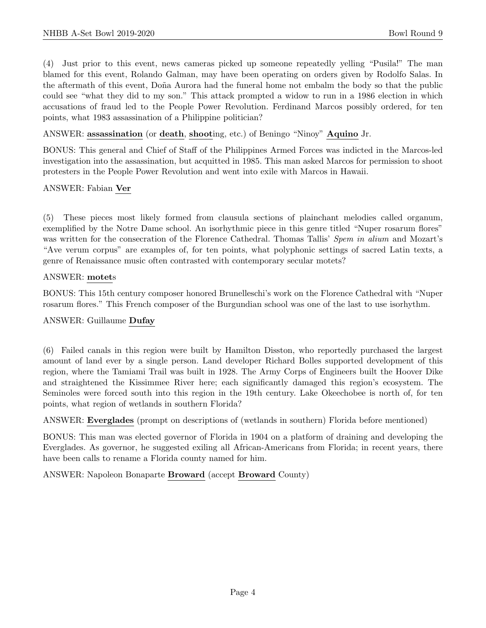(4) Just prior to this event, news cameras picked up someone repeatedly yelling "Pusila!" The man blamed for this event, Rolando Galman, may have been operating on orders given by Rodolfo Salas. In the aftermath of this event, Doña Aurora had the funeral home not embalm the body so that the public could see "what they did to my son." This attack prompted a widow to run in a 1986 election in which accusations of fraud led to the People Power Revolution. Ferdinand Marcos possibly ordered, for ten points, what 1983 assassination of a Philippine politician?

ANSWER: assassination (or death, shooting, etc.) of Beningo "Ninoy" Aquino Jr.

BONUS: This general and Chief of Staff of the Philippines Armed Forces was indicted in the Marcos-led investigation into the assassination, but acquitted in 1985. This man asked Marcos for permission to shoot protesters in the People Power Revolution and went into exile with Marcos in Hawaii.

#### ANSWER: Fabian Ver

(5) These pieces most likely formed from clausula sections of plainchant melodies called organum, exemplified by the Notre Dame school. An isorhythmic piece in this genre titled "Nuper rosarum flores" was written for the consecration of the Florence Cathedral. Thomas Tallis' Spem in alium and Mozart's "Ave verum corpus" are examples of, for ten points, what polyphonic settings of sacred Latin texts, a genre of Renaissance music often contrasted with contemporary secular motets?

#### ANSWER: motets

BONUS: This 15th century composer honored Brunelleschi's work on the Florence Cathedral with "Nuper rosarum flores." This French composer of the Burgundian school was one of the last to use isorhythm.

#### ANSWER: Guillaume Dufay

(6) Failed canals in this region were built by Hamilton Disston, who reportedly purchased the largest amount of land ever by a single person. Land developer Richard Bolles supported development of this region, where the Tamiami Trail was built in 1928. The Army Corps of Engineers built the Hoover Dike and straightened the Kissimmee River here; each significantly damaged this region's ecosystem. The Seminoles were forced south into this region in the 19th century. Lake Okeechobee is north of, for ten points, what region of wetlands in southern Florida?

ANSWER: Everglades (prompt on descriptions of (wetlands in southern) Florida before mentioned)

BONUS: This man was elected governor of Florida in 1904 on a platform of draining and developing the Everglades. As governor, he suggested exiling all African-Americans from Florida; in recent years, there have been calls to rename a Florida county named for him.

ANSWER: Napoleon Bonaparte Broward (accept Broward County)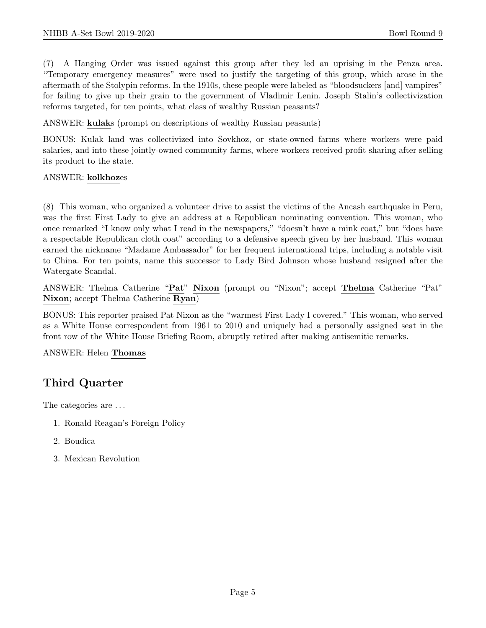(7) A Hanging Order was issued against this group after they led an uprising in the Penza area. "Temporary emergency measures" were used to justify the targeting of this group, which arose in the aftermath of the Stolypin reforms. In the 1910s, these people were labeled as "bloodsuckers [and] vampires" for failing to give up their grain to the government of Vladimir Lenin. Joseph Stalin's collectivization reforms targeted, for ten points, what class of wealthy Russian peasants?

ANSWER: kulaks (prompt on descriptions of wealthy Russian peasants)

BONUS: Kulak land was collectivized into Sovkhoz, or state-owned farms where workers were paid salaries, and into these jointly-owned community farms, where workers received profit sharing after selling its product to the state.

#### ANSWER: kolkhozes

(8) This woman, who organized a volunteer drive to assist the victims of the Ancash earthquake in Peru, was the first First Lady to give an address at a Republican nominating convention. This woman, who once remarked "I know only what I read in the newspapers," "doesn't have a mink coat," but "does have a respectable Republican cloth coat" according to a defensive speech given by her husband. This woman earned the nickname "Madame Ambassador" for her frequent international trips, including a notable visit to China. For ten points, name this successor to Lady Bird Johnson whose husband resigned after the Watergate Scandal.

ANSWER: Thelma Catherine "Pat" Nixon (prompt on "Nixon"; accept Thelma Catherine "Pat" Nixon; accept Thelma Catherine Ryan)

BONUS: This reporter praised Pat Nixon as the "warmest First Lady I covered." This woman, who served as a White House correspondent from 1961 to 2010 and uniquely had a personally assigned seat in the front row of the White House Briefing Room, abruptly retired after making antisemitic remarks.

ANSWER: Helen Thomas

# Third Quarter

The categories are ...

- 1. Ronald Reagan's Foreign Policy
- 2. Boudica
- 3. Mexican Revolution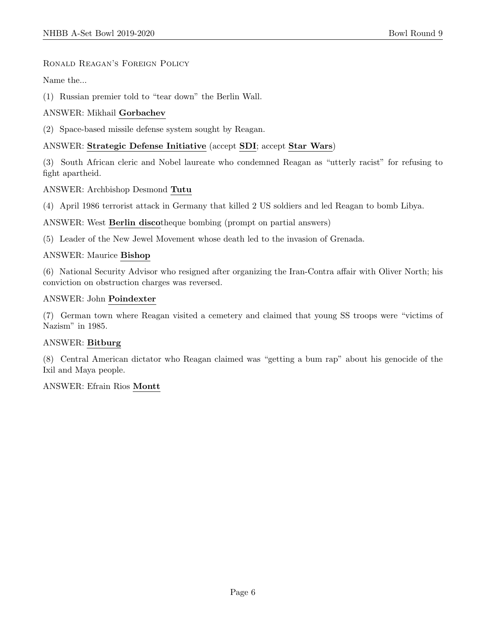#### Ronald Reagan's Foreign Policy

Name the...

(1) Russian premier told to "tear down" the Berlin Wall.

### ANSWER: Mikhail Gorbachev

(2) Space-based missile defense system sought by Reagan.

## ANSWER: Strategic Defense Initiative (accept SDI; accept Star Wars)

(3) South African cleric and Nobel laureate who condemned Reagan as "utterly racist" for refusing to fight apartheid.

ANSWER: Archbishop Desmond Tutu

(4) April 1986 terrorist attack in Germany that killed 2 US soldiers and led Reagan to bomb Libya.

ANSWER: West Berlin discotheque bombing (prompt on partial answers)

(5) Leader of the New Jewel Movement whose death led to the invasion of Grenada.

#### ANSWER: Maurice Bishop

(6) National Security Advisor who resigned after organizing the Iran-Contra affair with Oliver North; his conviction on obstruction charges was reversed.

#### ANSWER: John Poindexter

(7) German town where Reagan visited a cemetery and claimed that young SS troops were "victims of Nazism" in 1985.

#### ANSWER: Bitburg

(8) Central American dictator who Reagan claimed was "getting a bum rap" about his genocide of the Ixil and Maya people.

#### ANSWER: Efrain Rios Montt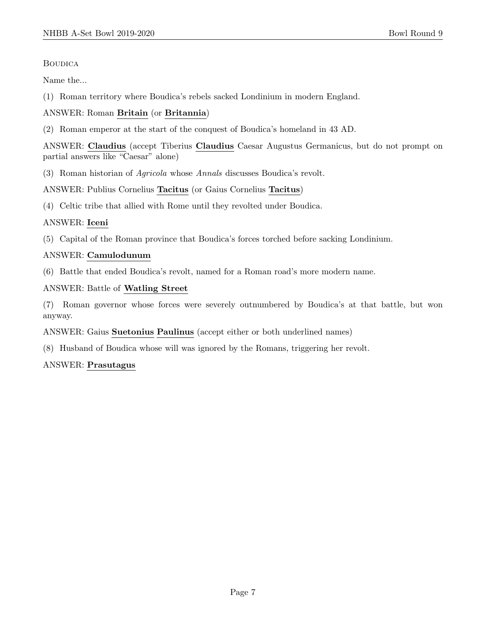#### **BOUDICA**

Name the...

(1) Roman territory where Boudica's rebels sacked Londinium in modern England.

#### ANSWER: Roman Britain (or Britannia)

(2) Roman emperor at the start of the conquest of Boudica's homeland in 43 AD.

ANSWER: Claudius (accept Tiberius Claudius Caesar Augustus Germanicus, but do not prompt on partial answers like "Caesar" alone)

(3) Roman historian of Agricola whose Annals discusses Boudica's revolt.

ANSWER: Publius Cornelius Tacitus (or Gaius Cornelius Tacitus)

(4) Celtic tribe that allied with Rome until they revolted under Boudica.

#### ANSWER: Iceni

(5) Capital of the Roman province that Boudica's forces torched before sacking Londinium.

#### ANSWER: Camulodunum

(6) Battle that ended Boudica's revolt, named for a Roman road's more modern name.

#### ANSWER: Battle of Watling Street

(7) Roman governor whose forces were severely outnumbered by Boudica's at that battle, but won anyway.

#### ANSWER: Gaius Suetonius Paulinus (accept either or both underlined names)

(8) Husband of Boudica whose will was ignored by the Romans, triggering her revolt.

#### ANSWER: Prasutagus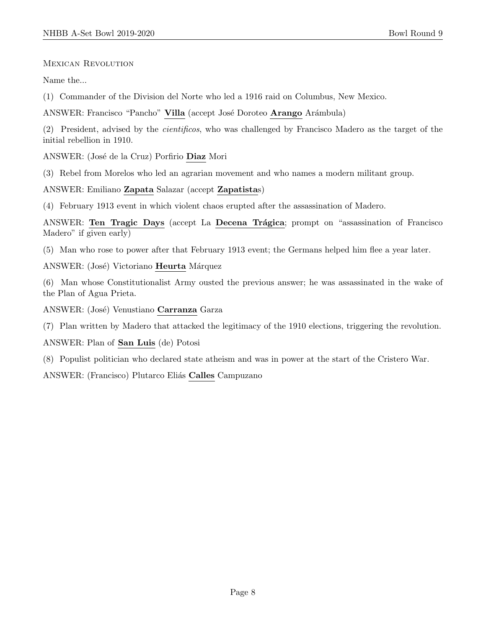MEXICAN REVOLUTION

Name the...

(1) Commander of the Division del Norte who led a 1916 raid on Columbus, New Mexico.

ANSWER: Francisco "Pancho" Villa (accept José Doroteo Arango Arámbula)

(2) President, advised by the cientificos, who was challenged by Francisco Madero as the target of the initial rebellion in 1910.

ANSWER: (José de la Cruz) Porfirio Diaz Mori

(3) Rebel from Morelos who led an agrarian movement and who names a modern militant group.

ANSWER: Emiliano Zapata Salazar (accept Zapatistas)

(4) February 1913 event in which violent chaos erupted after the assassination of Madero.

ANSWER: Ten Tragic Days (accept La Decena Trágica; prompt on "assassination of Francisco Madero" if given early)

(5) Man who rose to power after that February 1913 event; the Germans helped him flee a year later.

ANSWER: (José) Victoriano Heurta Márquez

(6) Man whose Constitutionalist Army ousted the previous answer; he was assassinated in the wake of the Plan of Agua Prieta.

ANSWER: (José) Venustiano Carranza Garza

(7) Plan written by Madero that attacked the legitimacy of the 1910 elections, triggering the revolution.

ANSWER: Plan of San Luis (de) Potosi

(8) Populist politician who declared state atheism and was in power at the start of the Cristero War.

ANSWER: (Francisco) Plutarco Eliás Calles Campuzano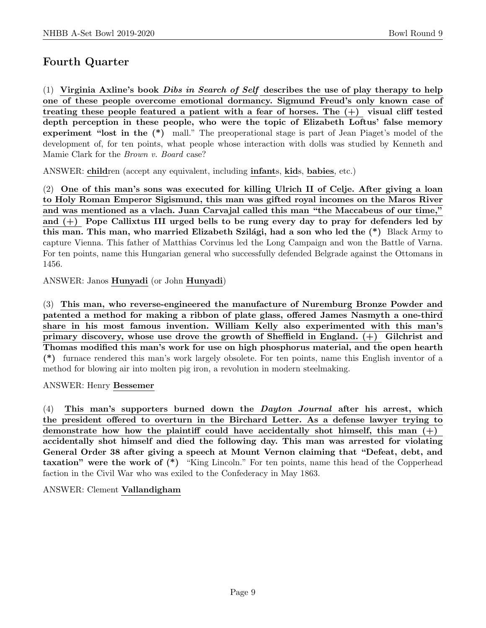# Fourth Quarter

(1) Virginia Axline's book *Dibs in Search of Self* describes the use of play therapy to help one of these people overcome emotional dormancy. Sigmund Freud's only known case of treating these people featured a patient with a fear of horses. The  $(+)$  visual cliff tested depth perception in these people, who were the topic of Elizabeth Loftus' false memory experiment "lost in the (\*) mall." The preoperational stage is part of Jean Piaget's model of the development of, for ten points, what people whose interaction with dolls was studied by Kenneth and Mamie Clark for the Brown v. Board case?

ANSWER: children (accept any equivalent, including infants, kids, babies, etc.)

(2) One of this man's sons was executed for killing Ulrich II of Celje. After giving a loan to Holy Roman Emperor Sigismund, this man was gifted royal incomes on the Maros River and was mentioned as a vlach. Juan Carvajal called this man "the Maccabeus of our time," and  $(+)$  Pope Callixtus III urged bells to be rung every day to pray for defenders led by this man. This man, who married Elizabeth Szilági, had a son who led the  $(*)$  Black Army to capture Vienna. This father of Matthias Corvinus led the Long Campaign and won the Battle of Varna. For ten points, name this Hungarian general who successfully defended Belgrade against the Ottomans in 1456.

ANSWER: Janos Hunyadi (or John Hunyadi)

(3) This man, who reverse-engineered the manufacture of Nuremburg Bronze Powder and patented a method for making a ribbon of plate glass, offered James Nasmyth a one-third share in his most famous invention. William Kelly also experimented with this man's primary discovery, whose use drove the growth of Sheffield in England. (+) Gilchrist and Thomas modified this man's work for use on high phosphorus material, and the open hearth (\*) furnace rendered this man's work largely obsolete. For ten points, name this English inventor of a method for blowing air into molten pig iron, a revolution in modern steelmaking.

#### ANSWER: Henry Bessemer

(4) This man's supporters burned down the Dayton Journal after his arrest, which the president offered to overturn in the Birchard Letter. As a defense lawyer trying to demonstrate how how the plaintiff could have accidentally shot himself, this man  $(+)$ accidentally shot himself and died the following day. This man was arrested for violating General Order 38 after giving a speech at Mount Vernon claiming that "Defeat, debt, and taxation" were the work of  $(*)$  "King Lincoln." For ten points, name this head of the Copperhead faction in the Civil War who was exiled to the Confederacy in May 1863.

#### ANSWER: Clement Vallandigham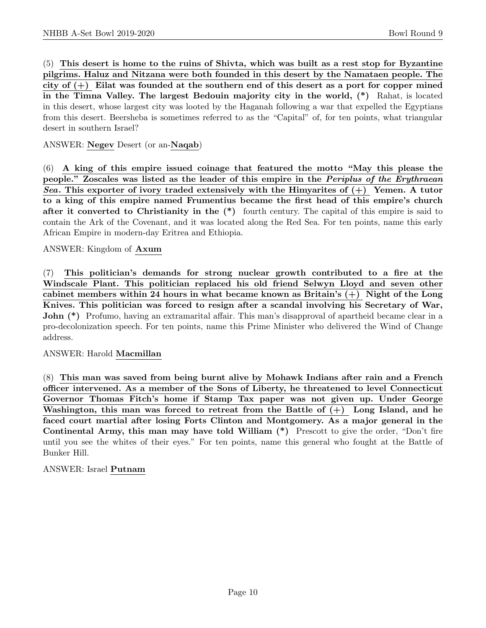(5) This desert is home to the ruins of Shivta, which was built as a rest stop for Byzantine pilgrims. Haluz and Nitzana were both founded in this desert by the Namataen people. The city of  $(+)$  Eilat was founded at the southern end of this desert as a port for copper mined in the Timna Valley. The largest Bedouin majority city in the world, (\*) Rahat, is located in this desert, whose largest city was looted by the Haganah following a war that expelled the Egyptians from this desert. Beersheba is sometimes referred to as the "Capital" of, for ten points, what triangular desert in southern Israel?

#### ANSWER: Negev Desert (or an-Naqab)

(6) A king of this empire issued coinage that featured the motto "May this please the people." Zoscales was listed as the leader of this empire in the Periplus of the Erythraean Sea. This exporter of ivory traded extensively with the Himyarites of  $(+)$  Yemen. A tutor to a king of this empire named Frumentius became the first head of this empire's church after it converted to Christianity in the  $(*)$  fourth century. The capital of this empire is said to contain the Ark of the Covenant, and it was located along the Red Sea. For ten points, name this early African Empire in modern-day Eritrea and Ethiopia.

#### ANSWER: Kingdom of Axum

(7) This politician's demands for strong nuclear growth contributed to a fire at the Windscale Plant. This politician replaced his old friend Selwyn Lloyd and seven other cabinet members within 24 hours in what became known as Britain's  $(+)$  Night of the Long Knives. This politician was forced to resign after a scandal involving his Secretary of War, John (\*) Profumo, having an extramarital affair. This man's disapproval of apartheid became clear in a pro-decolonization speech. For ten points, name this Prime Minister who delivered the Wind of Change address.

#### ANSWER: Harold Macmillan

(8) This man was saved from being burnt alive by Mohawk Indians after rain and a French officer intervened. As a member of the Sons of Liberty, he threatened to level Connecticut Governor Thomas Fitch's home if Stamp Tax paper was not given up. Under George Washington, this man was forced to retreat from the Battle of  $(+)$  Long Island, and he faced court martial after losing Forts Clinton and Montgomery. As a major general in the Continental Army, this man may have told William (\*) Prescott to give the order, "Don't fire until you see the whites of their eyes." For ten points, name this general who fought at the Battle of Bunker Hill.

#### ANSWER: Israel Putnam